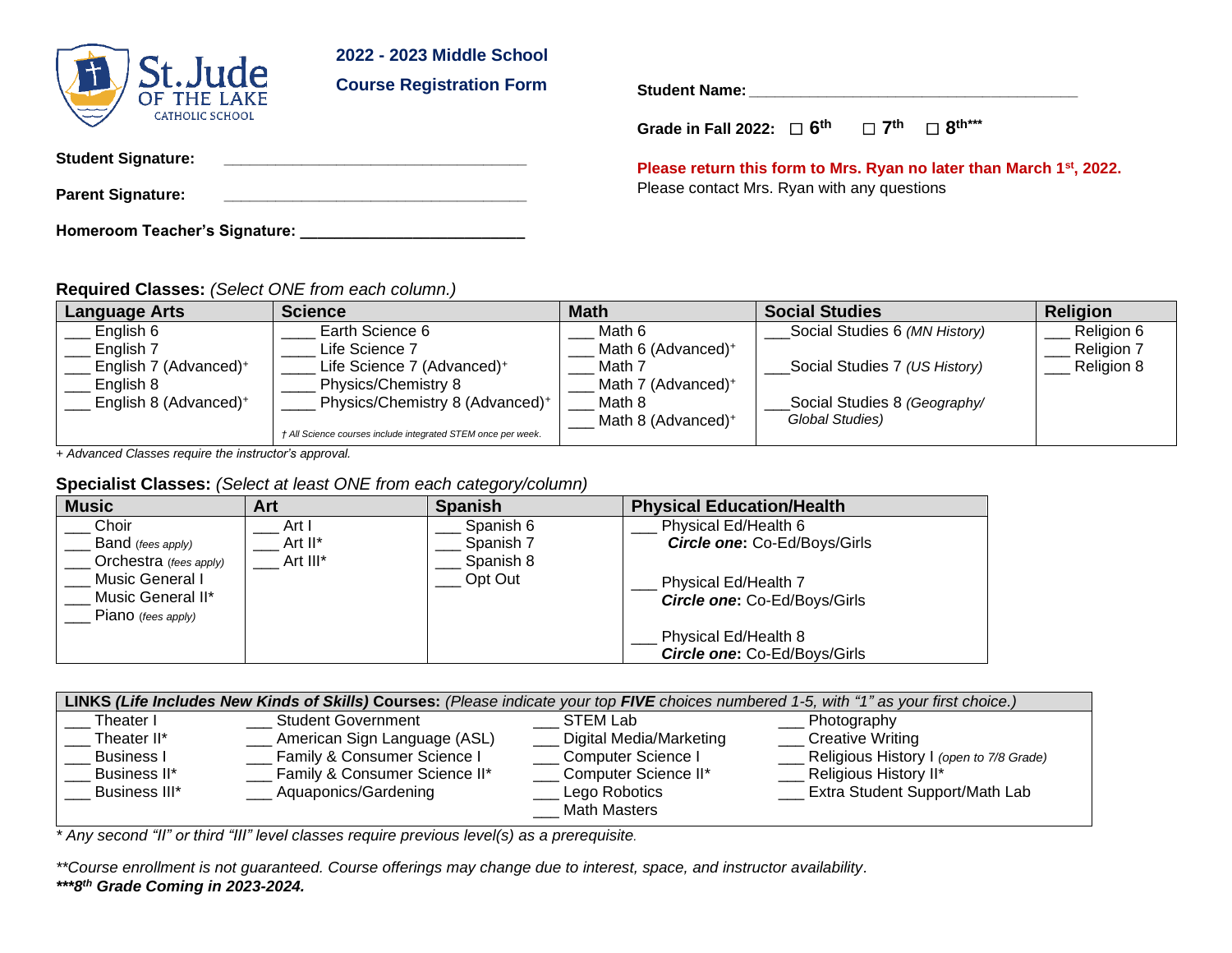#### **2022 - 2023 Middle School**



**Course Registration Form**

**Student Name: \_\_\_\_\_\_\_\_\_\_\_\_\_\_\_\_\_\_\_\_\_\_\_\_\_\_\_\_\_\_\_\_\_\_\_\_\_\_**

**Grade in Fall 2022:** ☐ **6 th** ☐ **7 th** ☐ **8 th\*\*\***

**Student Signature: \_\_\_\_\_\_\_\_\_\_\_\_\_\_\_\_\_\_\_\_\_\_\_\_\_\_\_\_\_\_\_\_\_\_\_**

**Parent Signature: \_\_\_\_\_\_\_\_\_\_\_\_\_\_\_\_\_\_\_\_\_\_\_\_\_\_\_\_\_\_\_\_\_\_\_**

**Homeroom Teacher's Signature: \_\_\_\_\_\_\_\_\_\_\_\_\_\_\_\_\_\_\_\_\_\_\_\_\_\_**

**Please return this form to Mrs. Ryan no later than March 1st, 2022.** Please contact Mrs. Ryan with any questions

**Required Classes:** *(Select ONE from each column.)*

| <b>Language Arts</b>              | <b>Science</b>                                               | <b>Math</b>                    | <b>Social Studies</b>         | <b>Religion</b> |
|-----------------------------------|--------------------------------------------------------------|--------------------------------|-------------------------------|-----------------|
| English 6                         | Earth Science 6                                              | Math 6                         | Social Studies 6 (MN History) | Religion 6      |
| English 7                         | Life Science 7                                               | Math 6 (Advanced) <sup>+</sup> |                               | Religion 7      |
| English 7 (Advanced) <sup>+</sup> | Life Science 7 (Advanced) <sup>+</sup>                       | Math 7                         | Social Studies 7 (US History) | Religion 8      |
| English 8                         | Physics/Chemistry 8                                          | Math 7 (Advanced) <sup>+</sup> |                               |                 |
| English 8 (Advanced) <sup>+</sup> | Physics/Chemistry 8 (Advanced) <sup>+</sup>                  | Math 8                         | Social Studies 8 (Geography/  |                 |
|                                   |                                                              | Math 8 (Advanced) <sup>+</sup> | Global Studies)               |                 |
|                                   | † All Science courses include integrated STEM once per week. |                                |                               |                 |

*+ Advanced Classes require the instructor's approval.*

#### **Specialist Classes:** *(Select at least ONE from each category/column)*

| <b>Music</b>           | Art      | <b>Spanish</b> | <b>Physical Education/Health</b>    |
|------------------------|----------|----------------|-------------------------------------|
| Choir                  | Art I    | Spanish 6      | Physical Ed/Health 6                |
| Band (fees apply)      | Art II*  | Spanish 7      | <b>Circle one: Co-Ed/Boys/Girls</b> |
| Orchestra (fees apply) | Art III* | Spanish 8      |                                     |
| Music General I        |          | Opt Out        | Physical Ed/Health 7                |
| Music General II*      |          |                | Circle one: Co-Ed/Boys/Girls        |
| Piano (fees apply)     |          |                |                                     |
|                        |          |                | Physical Ed/Health 8                |
|                        |          |                | Circle one: Co-Ed/Boys/Girls        |

| LINKS (Life Includes New Kinds of Skills) Courses: (Please indicate your top FIVE choices numbered 1-5, with "1" as your first choice.) |                               |                         |                                         |  |  |  |
|-----------------------------------------------------------------------------------------------------------------------------------------|-------------------------------|-------------------------|-----------------------------------------|--|--|--|
| Theater I                                                                                                                               | <b>Student Government</b>     | STEM Lab                | Photography                             |  |  |  |
| Theater II*                                                                                                                             | American Sign Language (ASL)  | Digital Media/Marketing | <b>Creative Writing</b>                 |  |  |  |
| <b>Business I</b>                                                                                                                       | Family & Consumer Science I   | Computer Science I      | Religious History I (open to 7/8 Grade) |  |  |  |
| Business II*                                                                                                                            | Family & Consumer Science II* | Computer Science II*    | Religious History II*                   |  |  |  |
| Business III*                                                                                                                           | Aquaponics/Gardening          | Lego Robotics           | Extra Student Support/Math Lab          |  |  |  |
|                                                                                                                                         |                               | <b>Math Masters</b>     |                                         |  |  |  |

*\* Any second "II" or third "III" level classes require previous level(s) as a prerequisite.*

*\*\*Course enrollment is not guaranteed. Course offerings may change due to interest, space, and instructor availability. \*\*\*8th Grade Coming in 2023-2024.*